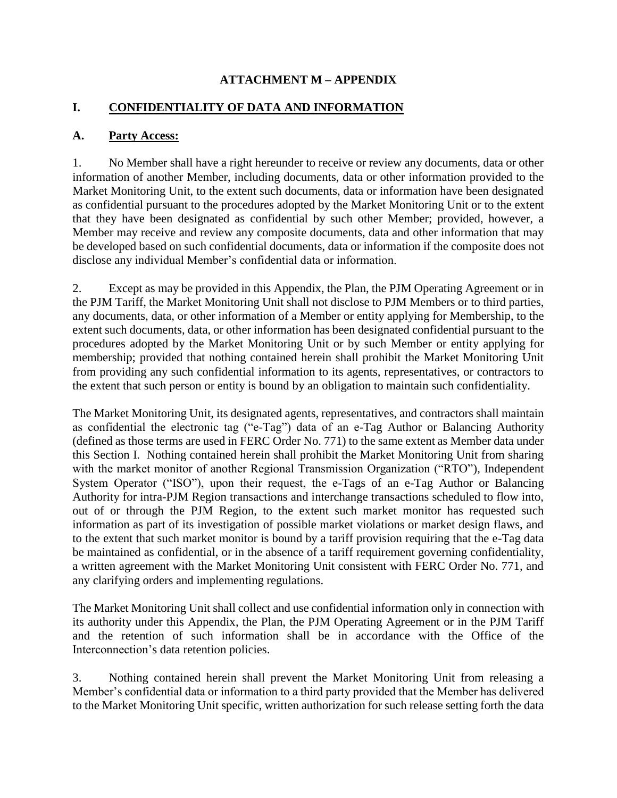#### **ATTACHMENT M – APPENDIX**

### **I. CONFIDENTIALITY OF DATA AND INFORMATION**

#### **A. Party Access:**

1. No Member shall have a right hereunder to receive or review any documents, data or other information of another Member, including documents, data or other information provided to the Market Monitoring Unit, to the extent such documents, data or information have been designated as confidential pursuant to the procedures adopted by the Market Monitoring Unit or to the extent that they have been designated as confidential by such other Member; provided, however, a Member may receive and review any composite documents, data and other information that may be developed based on such confidential documents, data or information if the composite does not disclose any individual Member's confidential data or information.

2. Except as may be provided in this Appendix, the Plan, the PJM Operating Agreement or in the PJM Tariff, the Market Monitoring Unit shall not disclose to PJM Members or to third parties, any documents, data, or other information of a Member or entity applying for Membership, to the extent such documents, data, or other information has been designated confidential pursuant to the procedures adopted by the Market Monitoring Unit or by such Member or entity applying for membership; provided that nothing contained herein shall prohibit the Market Monitoring Unit from providing any such confidential information to its agents, representatives, or contractors to the extent that such person or entity is bound by an obligation to maintain such confidentiality.

The Market Monitoring Unit, its designated agents, representatives, and contractors shall maintain as confidential the electronic tag ("e-Tag") data of an e-Tag Author or Balancing Authority (defined as those terms are used in FERC Order No. 771) to the same extent as Member data under this Section I. Nothing contained herein shall prohibit the Market Monitoring Unit from sharing with the market monitor of another Regional Transmission Organization ("RTO"), Independent System Operator ("ISO"), upon their request, the e-Tags of an e-Tag Author or Balancing Authority for intra-PJM Region transactions and interchange transactions scheduled to flow into, out of or through the PJM Region, to the extent such market monitor has requested such information as part of its investigation of possible market violations or market design flaws, and to the extent that such market monitor is bound by a tariff provision requiring that the e-Tag data be maintained as confidential, or in the absence of a tariff requirement governing confidentiality, a written agreement with the Market Monitoring Unit consistent with FERC Order No. 771, and any clarifying orders and implementing regulations.

The Market Monitoring Unit shall collect and use confidential information only in connection with its authority under this Appendix, the Plan, the PJM Operating Agreement or in the PJM Tariff and the retention of such information shall be in accordance with the Office of the Interconnection's data retention policies.

3. Nothing contained herein shall prevent the Market Monitoring Unit from releasing a Member's confidential data or information to a third party provided that the Member has delivered to the Market Monitoring Unit specific, written authorization for such release setting forth the data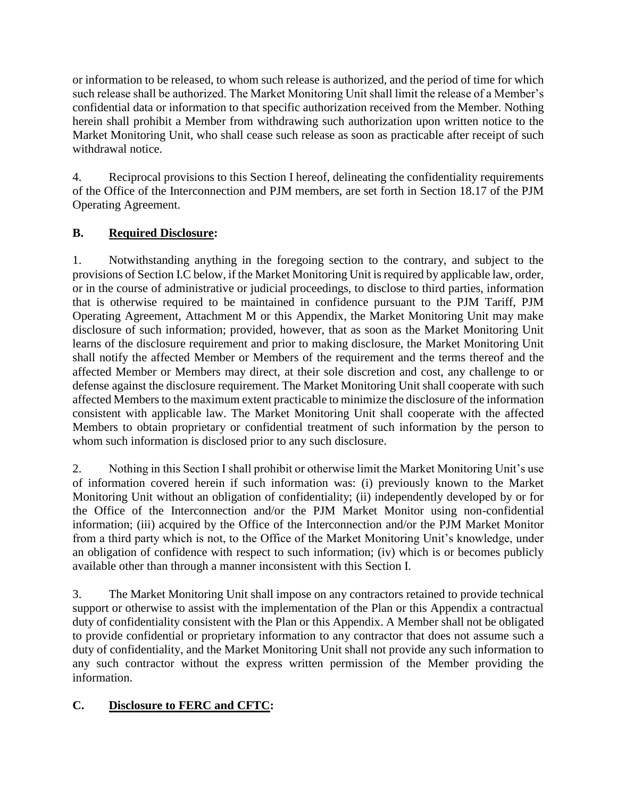or information to be released, to whom such release is authorized, and the period of time for which such release shall be authorized. The Market Monitoring Unit shall limit the release of a Member's confidential data or information to that specific authorization received from the Member. Nothing herein shall prohibit a Member from withdrawing such authorization upon written notice to the Market Monitoring Unit, who shall cease such release as soon as practicable after receipt of such withdrawal notice.

4. Reciprocal provisions to this Section I hereof, delineating the confidentiality requirements of the Office of the Interconnection and PJM members, are set forth in Section 18.17 of the PJM Operating Agreement.

## **B. Required Disclosure:**

1. Notwithstanding anything in the foregoing section to the contrary, and subject to the provisions of Section I.C below, if the Market Monitoring Unit is required by applicable law, order, or in the course of administrative or judicial proceedings, to disclose to third parties, information that is otherwise required to be maintained in confidence pursuant to the PJM Tariff, PJM Operating Agreement, Attachment M or this Appendix, the Market Monitoring Unit may make disclosure of such information; provided, however, that as soon as the Market Monitoring Unit learns of the disclosure requirement and prior to making disclosure, the Market Monitoring Unit shall notify the affected Member or Members of the requirement and the terms thereof and the affected Member or Members may direct, at their sole discretion and cost, any challenge to or defense against the disclosure requirement. The Market Monitoring Unit shall cooperate with such affected Members to the maximum extent practicable to minimize the disclosure of the information consistent with applicable law. The Market Monitoring Unit shall cooperate with the affected Members to obtain proprietary or confidential treatment of such information by the person to whom such information is disclosed prior to any such disclosure.

2. Nothing in this Section I shall prohibit or otherwise limit the Market Monitoring Unit's use of information covered herein if such information was: (i) previously known to the Market Monitoring Unit without an obligation of confidentiality; (ii) independently developed by or for the Office of the Interconnection and/or the PJM Market Monitor using non-confidential information; (iii) acquired by the Office of the Interconnection and/or the PJM Market Monitor from a third party which is not, to the Office of the Market Monitoring Unit's knowledge, under an obligation of confidence with respect to such information; (iv) which is or becomes publicly available other than through a manner inconsistent with this Section I.

3. The Market Monitoring Unit shall impose on any contractors retained to provide technical support or otherwise to assist with the implementation of the Plan or this Appendix a contractual duty of confidentiality consistent with the Plan or this Appendix. A Member shall not be obligated to provide confidential or proprietary information to any contractor that does not assume such a duty of confidentiality, and the Market Monitoring Unit shall not provide any such information to any such contractor without the express written permission of the Member providing the information.

# **C. Disclosure to FERC and CFTC:**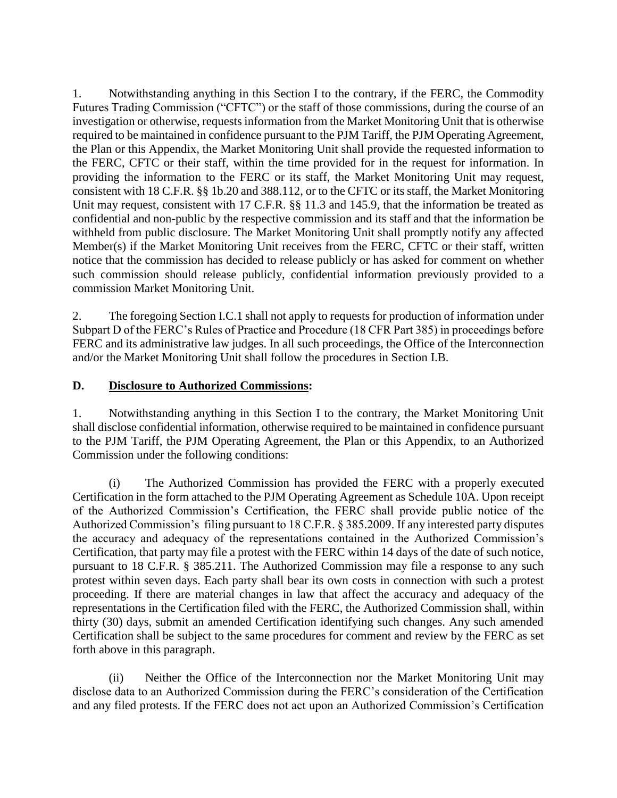1. Notwithstanding anything in this Section I to the contrary, if the FERC, the Commodity Futures Trading Commission ("CFTC") or the staff of those commissions, during the course of an investigation or otherwise, requests information from the Market Monitoring Unit that is otherwise required to be maintained in confidence pursuant to the PJM Tariff, the PJM Operating Agreement, the Plan or this Appendix, the Market Monitoring Unit shall provide the requested information to the FERC, CFTC or their staff, within the time provided for in the request for information. In providing the information to the FERC or its staff, the Market Monitoring Unit may request, consistent with 18 C.F.R. §§ 1b.20 and 388.112, or to the CFTC or its staff, the Market Monitoring Unit may request, consistent with 17 C.F.R. §§ 11.3 and 145.9, that the information be treated as confidential and non-public by the respective commission and its staff and that the information be withheld from public disclosure. The Market Monitoring Unit shall promptly notify any affected Member(s) if the Market Monitoring Unit receives from the FERC, CFTC or their staff, written notice that the commission has decided to release publicly or has asked for comment on whether such commission should release publicly, confidential information previously provided to a commission Market Monitoring Unit.

2. The foregoing Section I.C.1 shall not apply to requests for production of information under Subpart D of the FERC's Rules of Practice and Procedure (18 CFR Part 385) in proceedings before FERC and its administrative law judges. In all such proceedings, the Office of the Interconnection and/or the Market Monitoring Unit shall follow the procedures in Section I.B.

#### **D. Disclosure to Authorized Commissions:**

1. Notwithstanding anything in this Section I to the contrary, the Market Monitoring Unit shall disclose confidential information, otherwise required to be maintained in confidence pursuant to the PJM Tariff, the PJM Operating Agreement, the Plan or this Appendix, to an Authorized Commission under the following conditions:

(i) The Authorized Commission has provided the FERC with a properly executed Certification in the form attached to the PJM Operating Agreement as Schedule 10A. Upon receipt of the Authorized Commission's Certification, the FERC shall provide public notice of the Authorized Commission's filing pursuant to 18 C.F.R. § 385.2009. If any interested party disputes the accuracy and adequacy of the representations contained in the Authorized Commission's Certification, that party may file a protest with the FERC within 14 days of the date of such notice, pursuant to 18 C.F.R. § 385.211. The Authorized Commission may file a response to any such protest within seven days. Each party shall bear its own costs in connection with such a protest proceeding. If there are material changes in law that affect the accuracy and adequacy of the representations in the Certification filed with the FERC, the Authorized Commission shall, within thirty (30) days, submit an amended Certification identifying such changes. Any such amended Certification shall be subject to the same procedures for comment and review by the FERC as set forth above in this paragraph.

(ii) Neither the Office of the Interconnection nor the Market Monitoring Unit may disclose data to an Authorized Commission during the FERC's consideration of the Certification and any filed protests. If the FERC does not act upon an Authorized Commission's Certification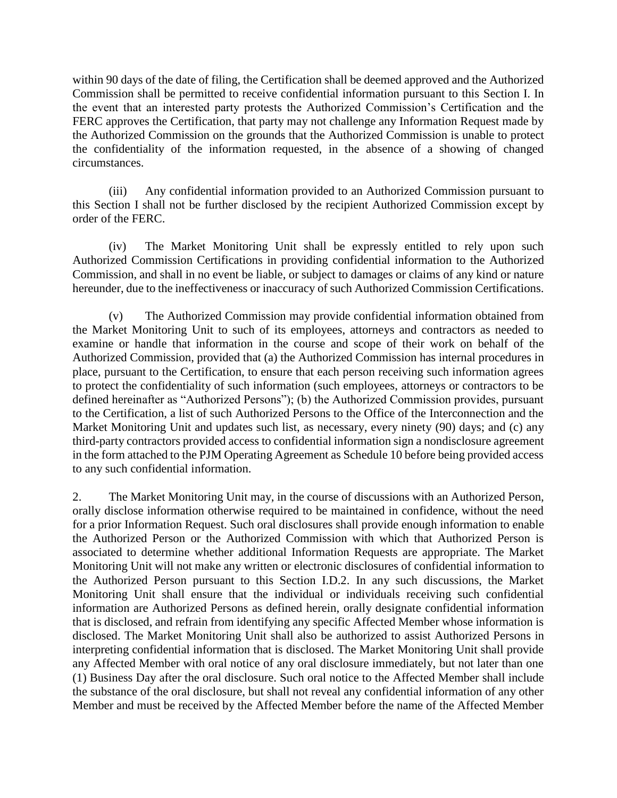within 90 days of the date of filing, the Certification shall be deemed approved and the Authorized Commission shall be permitted to receive confidential information pursuant to this Section I. In the event that an interested party protests the Authorized Commission's Certification and the FERC approves the Certification, that party may not challenge any Information Request made by the Authorized Commission on the grounds that the Authorized Commission is unable to protect the confidentiality of the information requested, in the absence of a showing of changed circumstances.

(iii) Any confidential information provided to an Authorized Commission pursuant to this Section I shall not be further disclosed by the recipient Authorized Commission except by order of the FERC.

(iv) The Market Monitoring Unit shall be expressly entitled to rely upon such Authorized Commission Certifications in providing confidential information to the Authorized Commission, and shall in no event be liable, or subject to damages or claims of any kind or nature hereunder, due to the ineffectiveness or inaccuracy of such Authorized Commission Certifications.

(v) The Authorized Commission may provide confidential information obtained from the Market Monitoring Unit to such of its employees, attorneys and contractors as needed to examine or handle that information in the course and scope of their work on behalf of the Authorized Commission, provided that (a) the Authorized Commission has internal procedures in place, pursuant to the Certification, to ensure that each person receiving such information agrees to protect the confidentiality of such information (such employees, attorneys or contractors to be defined hereinafter as "Authorized Persons"); (b) the Authorized Commission provides, pursuant to the Certification, a list of such Authorized Persons to the Office of the Interconnection and the Market Monitoring Unit and updates such list, as necessary, every ninety (90) days; and (c) any third-party contractors provided access to confidential information sign a nondisclosure agreement in the form attached to the PJM Operating Agreement as Schedule 10 before being provided access to any such confidential information.

2. The Market Monitoring Unit may, in the course of discussions with an Authorized Person, orally disclose information otherwise required to be maintained in confidence, without the need for a prior Information Request. Such oral disclosures shall provide enough information to enable the Authorized Person or the Authorized Commission with which that Authorized Person is associated to determine whether additional Information Requests are appropriate. The Market Monitoring Unit will not make any written or electronic disclosures of confidential information to the Authorized Person pursuant to this Section I.D.2. In any such discussions, the Market Monitoring Unit shall ensure that the individual or individuals receiving such confidential information are Authorized Persons as defined herein, orally designate confidential information that is disclosed, and refrain from identifying any specific Affected Member whose information is disclosed. The Market Monitoring Unit shall also be authorized to assist Authorized Persons in interpreting confidential information that is disclosed. The Market Monitoring Unit shall provide any Affected Member with oral notice of any oral disclosure immediately, but not later than one (1) Business Day after the oral disclosure. Such oral notice to the Affected Member shall include the substance of the oral disclosure, but shall not reveal any confidential information of any other Member and must be received by the Affected Member before the name of the Affected Member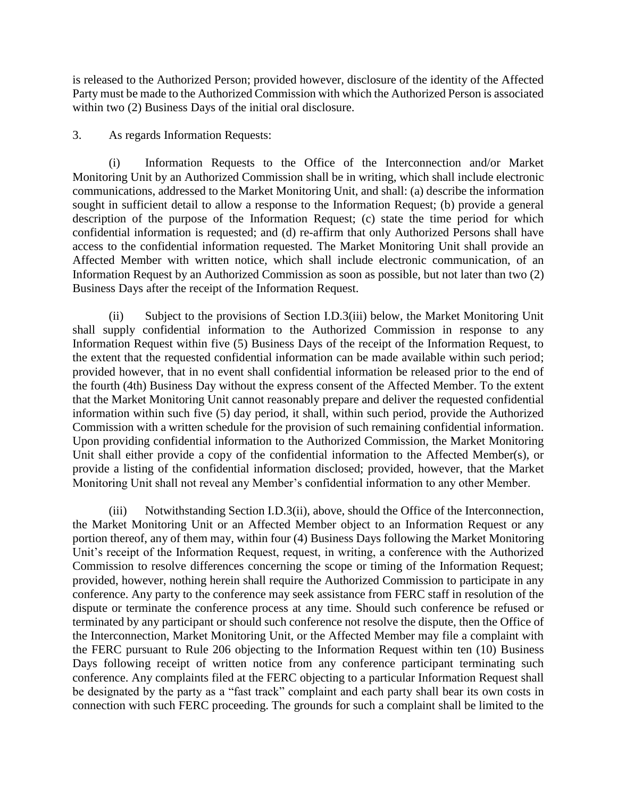is released to the Authorized Person; provided however, disclosure of the identity of the Affected Party must be made to the Authorized Commission with which the Authorized Person is associated within two (2) Business Days of the initial oral disclosure.

3. As regards Information Requests:

(i) Information Requests to the Office of the Interconnection and/or Market Monitoring Unit by an Authorized Commission shall be in writing, which shall include electronic communications, addressed to the Market Monitoring Unit, and shall: (a) describe the information sought in sufficient detail to allow a response to the Information Request; (b) provide a general description of the purpose of the Information Request; (c) state the time period for which confidential information is requested; and (d) re-affirm that only Authorized Persons shall have access to the confidential information requested. The Market Monitoring Unit shall provide an Affected Member with written notice, which shall include electronic communication, of an Information Request by an Authorized Commission as soon as possible, but not later than two (2) Business Days after the receipt of the Information Request.

(ii) Subject to the provisions of Section I.D.3(iii) below, the Market Monitoring Unit shall supply confidential information to the Authorized Commission in response to any Information Request within five (5) Business Days of the receipt of the Information Request, to the extent that the requested confidential information can be made available within such period; provided however, that in no event shall confidential information be released prior to the end of the fourth (4th) Business Day without the express consent of the Affected Member. To the extent that the Market Monitoring Unit cannot reasonably prepare and deliver the requested confidential information within such five (5) day period, it shall, within such period, provide the Authorized Commission with a written schedule for the provision of such remaining confidential information. Upon providing confidential information to the Authorized Commission, the Market Monitoring Unit shall either provide a copy of the confidential information to the Affected Member(s), or provide a listing of the confidential information disclosed; provided, however, that the Market Monitoring Unit shall not reveal any Member's confidential information to any other Member.

(iii) Notwithstanding Section I.D.3(ii), above, should the Office of the Interconnection, the Market Monitoring Unit or an Affected Member object to an Information Request or any portion thereof, any of them may, within four (4) Business Days following the Market Monitoring Unit's receipt of the Information Request, request, in writing, a conference with the Authorized Commission to resolve differences concerning the scope or timing of the Information Request; provided, however, nothing herein shall require the Authorized Commission to participate in any conference. Any party to the conference may seek assistance from FERC staff in resolution of the dispute or terminate the conference process at any time. Should such conference be refused or terminated by any participant or should such conference not resolve the dispute, then the Office of the Interconnection, Market Monitoring Unit, or the Affected Member may file a complaint with the FERC pursuant to Rule 206 objecting to the Information Request within ten (10) Business Days following receipt of written notice from any conference participant terminating such conference. Any complaints filed at the FERC objecting to a particular Information Request shall be designated by the party as a "fast track" complaint and each party shall bear its own costs in connection with such FERC proceeding. The grounds for such a complaint shall be limited to the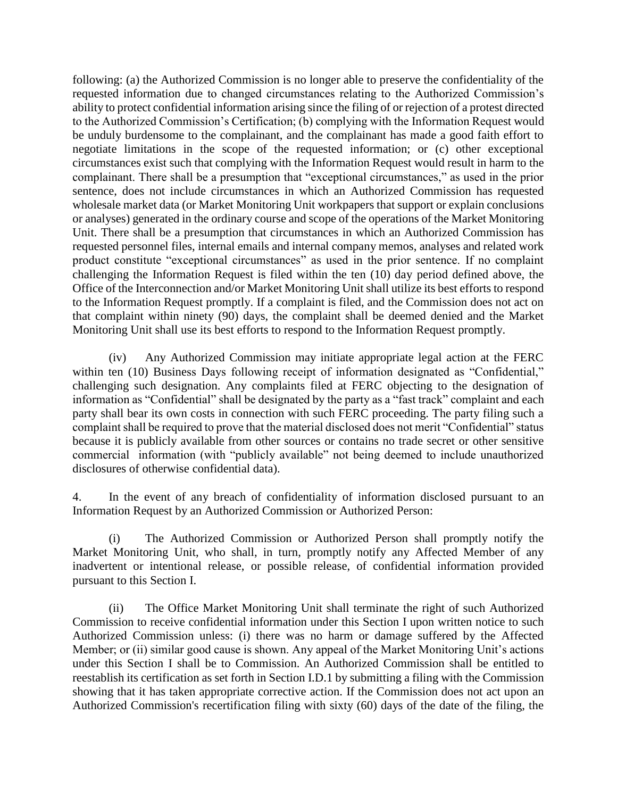following: (a) the Authorized Commission is no longer able to preserve the confidentiality of the requested information due to changed circumstances relating to the Authorized Commission's ability to protect confidential information arising since the filing of or rejection of a protest directed to the Authorized Commission's Certification; (b) complying with the Information Request would be unduly burdensome to the complainant, and the complainant has made a good faith effort to negotiate limitations in the scope of the requested information; or (c) other exceptional circumstances exist such that complying with the Information Request would result in harm to the complainant. There shall be a presumption that "exceptional circumstances," as used in the prior sentence, does not include circumstances in which an Authorized Commission has requested wholesale market data (or Market Monitoring Unit workpapers that support or explain conclusions or analyses) generated in the ordinary course and scope of the operations of the Market Monitoring Unit. There shall be a presumption that circumstances in which an Authorized Commission has requested personnel files, internal emails and internal company memos, analyses and related work product constitute "exceptional circumstances" as used in the prior sentence. If no complaint challenging the Information Request is filed within the ten (10) day period defined above, the Office of the Interconnection and/or Market Monitoring Unit shall utilize its best efforts to respond to the Information Request promptly. If a complaint is filed, and the Commission does not act on that complaint within ninety (90) days, the complaint shall be deemed denied and the Market Monitoring Unit shall use its best efforts to respond to the Information Request promptly.

(iv) Any Authorized Commission may initiate appropriate legal action at the FERC within ten (10) Business Days following receipt of information designated as "Confidential," challenging such designation. Any complaints filed at FERC objecting to the designation of information as "Confidential" shall be designated by the party as a "fast track" complaint and each party shall bear its own costs in connection with such FERC proceeding. The party filing such a complaint shall be required to prove that the material disclosed does not merit "Confidential" status because it is publicly available from other sources or contains no trade secret or other sensitive commercial information (with "publicly available" not being deemed to include unauthorized disclosures of otherwise confidential data).

4. In the event of any breach of confidentiality of information disclosed pursuant to an Information Request by an Authorized Commission or Authorized Person:

(i) The Authorized Commission or Authorized Person shall promptly notify the Market Monitoring Unit, who shall, in turn, promptly notify any Affected Member of any inadvertent or intentional release, or possible release, of confidential information provided pursuant to this Section I.

(ii) The Office Market Monitoring Unit shall terminate the right of such Authorized Commission to receive confidential information under this Section I upon written notice to such Authorized Commission unless: (i) there was no harm or damage suffered by the Affected Member; or (ii) similar good cause is shown. Any appeal of the Market Monitoring Unit's actions under this Section I shall be to Commission. An Authorized Commission shall be entitled to reestablish its certification as set forth in Section I.D.1 by submitting a filing with the Commission showing that it has taken appropriate corrective action. If the Commission does not act upon an Authorized Commission's recertification filing with sixty (60) days of the date of the filing, the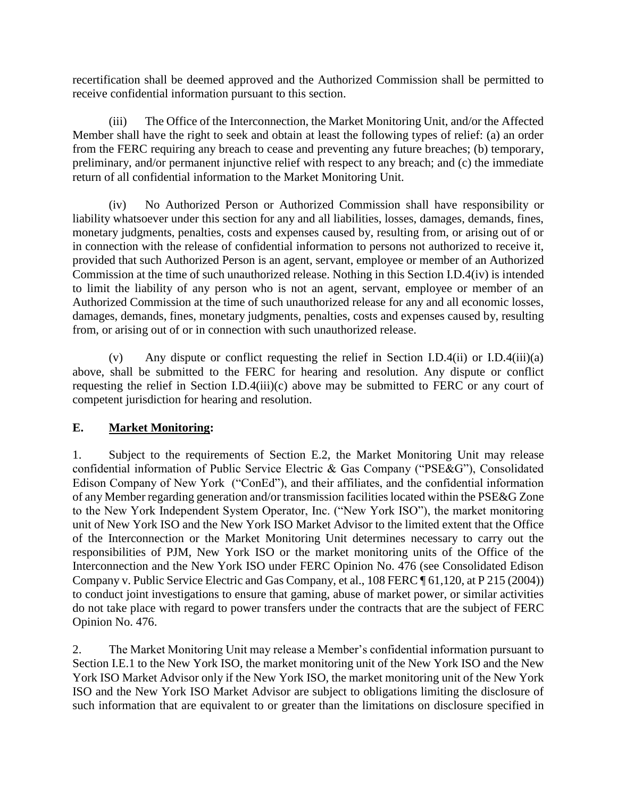recertification shall be deemed approved and the Authorized Commission shall be permitted to receive confidential information pursuant to this section.

(iii) The Office of the Interconnection, the Market Monitoring Unit, and/or the Affected Member shall have the right to seek and obtain at least the following types of relief: (a) an order from the FERC requiring any breach to cease and preventing any future breaches; (b) temporary, preliminary, and/or permanent injunctive relief with respect to any breach; and (c) the immediate return of all confidential information to the Market Monitoring Unit.

(iv) No Authorized Person or Authorized Commission shall have responsibility or liability whatsoever under this section for any and all liabilities, losses, damages, demands, fines, monetary judgments, penalties, costs and expenses caused by, resulting from, or arising out of or in connection with the release of confidential information to persons not authorized to receive it, provided that such Authorized Person is an agent, servant, employee or member of an Authorized Commission at the time of such unauthorized release. Nothing in this Section I.D.4(iv) is intended to limit the liability of any person who is not an agent, servant, employee or member of an Authorized Commission at the time of such unauthorized release for any and all economic losses, damages, demands, fines, monetary judgments, penalties, costs and expenses caused by, resulting from, or arising out of or in connection with such unauthorized release.

(v) Any dispute or conflict requesting the relief in Section I.D.4(ii) or I.D.4(iii)(a) above, shall be submitted to the FERC for hearing and resolution. Any dispute or conflict requesting the relief in Section I.D.4(iii)(c) above may be submitted to FERC or any court of competent jurisdiction for hearing and resolution.

#### **E. Market Monitoring:**

1. Subject to the requirements of Section E.2, the Market Monitoring Unit may release confidential information of Public Service Electric & Gas Company ("PSE&G"), Consolidated Edison Company of New York ("ConEd"), and their affiliates, and the confidential information of any Member regarding generation and/or transmission facilities located within the PSE&G Zone to the New York Independent System Operator, Inc. ("New York ISO"), the market monitoring unit of New York ISO and the New York ISO Market Advisor to the limited extent that the Office of the Interconnection or the Market Monitoring Unit determines necessary to carry out the responsibilities of PJM, New York ISO or the market monitoring units of the Office of the Interconnection and the New York ISO under FERC Opinion No. 476 (see Consolidated Edison Company v. Public Service Electric and Gas Company, et al., 108 FERC ¶ 61,120, at P 215 (2004)) to conduct joint investigations to ensure that gaming, abuse of market power, or similar activities do not take place with regard to power transfers under the contracts that are the subject of FERC Opinion No. 476.

2. The Market Monitoring Unit may release a Member's confidential information pursuant to Section I.E.1 to the New York ISO, the market monitoring unit of the New York ISO and the New York ISO Market Advisor only if the New York ISO, the market monitoring unit of the New York ISO and the New York ISO Market Advisor are subject to obligations limiting the disclosure of such information that are equivalent to or greater than the limitations on disclosure specified in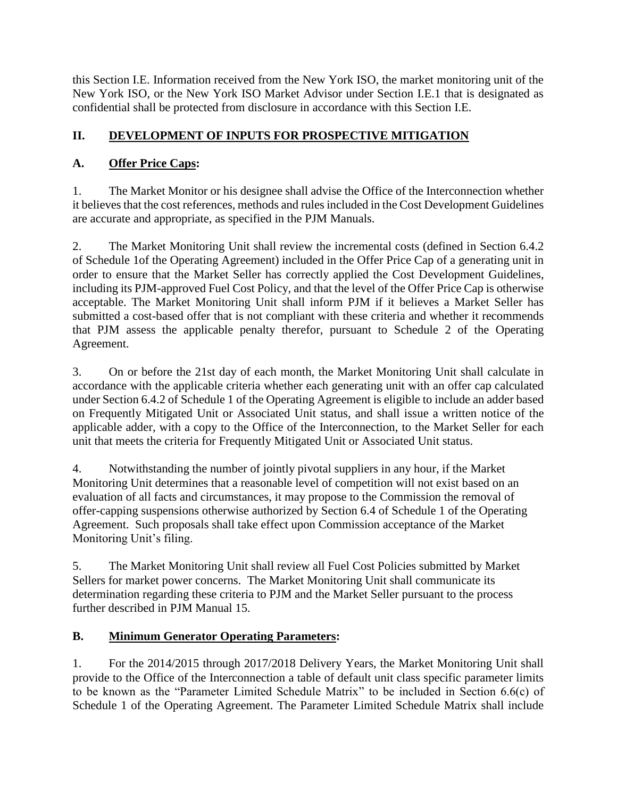this Section I.E. Information received from the New York ISO, the market monitoring unit of the New York ISO, or the New York ISO Market Advisor under Section I.E.1 that is designated as confidential shall be protected from disclosure in accordance with this Section I.E.

# **II. DEVELOPMENT OF INPUTS FOR PROSPECTIVE MITIGATION**

# **A. Offer Price Caps:**

1. The Market Monitor or his designee shall advise the Office of the Interconnection whether it believes that the cost references, methods and rules included in the Cost Development Guidelines are accurate and appropriate, as specified in the PJM Manuals.

2. The Market Monitoring Unit shall review the incremental costs (defined in Section 6.4.2 of Schedule 1of the Operating Agreement) included in the Offer Price Cap of a generating unit in order to ensure that the Market Seller has correctly applied the Cost Development Guidelines, including its PJM-approved Fuel Cost Policy, and that the level of the Offer Price Cap is otherwise acceptable. The Market Monitoring Unit shall inform PJM if it believes a Market Seller has submitted a cost-based offer that is not compliant with these criteria and whether it recommends that PJM assess the applicable penalty therefor, pursuant to Schedule 2 of the Operating Agreement.

3. On or before the 21st day of each month, the Market Monitoring Unit shall calculate in accordance with the applicable criteria whether each generating unit with an offer cap calculated under Section 6.4.2 of Schedule 1 of the Operating Agreement is eligible to include an adder based on Frequently Mitigated Unit or Associated Unit status, and shall issue a written notice of the applicable adder, with a copy to the Office of the Interconnection, to the Market Seller for each unit that meets the criteria for Frequently Mitigated Unit or Associated Unit status.

4. Notwithstanding the number of jointly pivotal suppliers in any hour, if the Market Monitoring Unit determines that a reasonable level of competition will not exist based on an evaluation of all facts and circumstances, it may propose to the Commission the removal of offer-capping suspensions otherwise authorized by Section 6.4 of Schedule 1 of the Operating Agreement. Such proposals shall take effect upon Commission acceptance of the Market Monitoring Unit's filing.

5. The Market Monitoring Unit shall review all Fuel Cost Policies submitted by Market Sellers for market power concerns. The Market Monitoring Unit shall communicate its determination regarding these criteria to PJM and the Market Seller pursuant to the process further described in PJM Manual 15.

# **B. Minimum Generator Operating Parameters:**

1. For the 2014/2015 through 2017/2018 Delivery Years, the Market Monitoring Unit shall provide to the Office of the Interconnection a table of default unit class specific parameter limits to be known as the "Parameter Limited Schedule Matrix" to be included in Section 6.6(c) of Schedule 1 of the Operating Agreement. The Parameter Limited Schedule Matrix shall include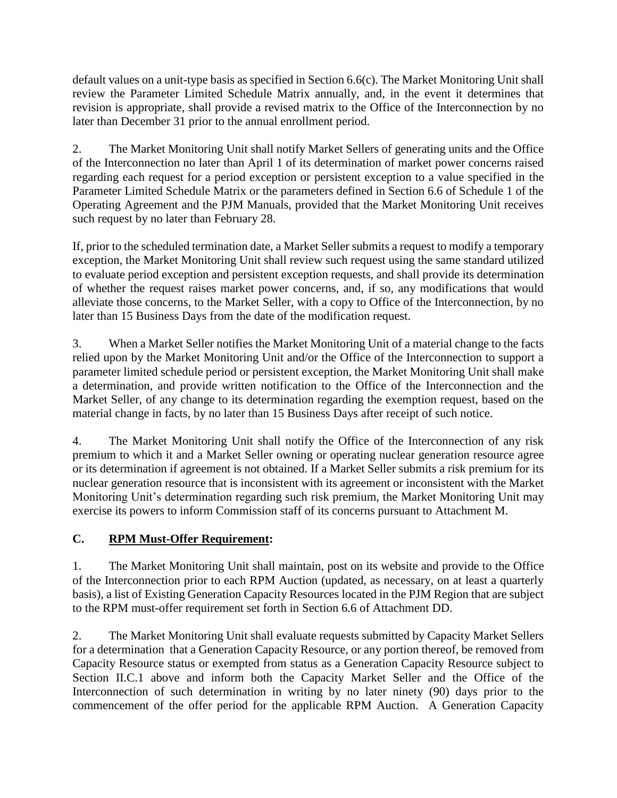default values on a unit-type basis as specified in Section 6.6(c). The Market Monitoring Unit shall review the Parameter Limited Schedule Matrix annually, and, in the event it determines that revision is appropriate, shall provide a revised matrix to the Office of the Interconnection by no later than December 31 prior to the annual enrollment period.

2. The Market Monitoring Unit shall notify Market Sellers of generating units and the Office of the Interconnection no later than April 1 of its determination of market power concerns raised regarding each request for a period exception or persistent exception to a value specified in the Parameter Limited Schedule Matrix or the parameters defined in Section 6.6 of Schedule 1 of the Operating Agreement and the PJM Manuals, provided that the Market Monitoring Unit receives such request by no later than February 28.

If, prior to the scheduled termination date, a Market Seller submits a request to modify a temporary exception, the Market Monitoring Unit shall review such request using the same standard utilized to evaluate period exception and persistent exception requests, and shall provide its determination of whether the request raises market power concerns, and, if so, any modifications that would alleviate those concerns, to the Market Seller, with a copy to Office of the Interconnection, by no later than 15 Business Days from the date of the modification request.

3. When a Market Seller notifies the Market Monitoring Unit of a material change to the facts relied upon by the Market Monitoring Unit and/or the Office of the Interconnection to support a parameter limited schedule period or persistent exception, the Market Monitoring Unit shall make a determination, and provide written notification to the Office of the Interconnection and the Market Seller, of any change to its determination regarding the exemption request, based on the material change in facts, by no later than 15 Business Days after receipt of such notice.

4. The Market Monitoring Unit shall notify the Office of the Interconnection of any risk premium to which it and a Market Seller owning or operating nuclear generation resource agree or its determination if agreement is not obtained. If a Market Seller submits a risk premium for its nuclear generation resource that is inconsistent with its agreement or inconsistent with the Market Monitoring Unit's determination regarding such risk premium, the Market Monitoring Unit may exercise its powers to inform Commission staff of its concerns pursuant to Attachment M.

### **C. RPM Must-Offer Requirement:**

1. The Market Monitoring Unit shall maintain, post on its website and provide to the Office of the Interconnection prior to each RPM Auction (updated, as necessary, on at least a quarterly basis), a list of Existing Generation Capacity Resources located in the PJM Region that are subject to the RPM must-offer requirement set forth in Section 6.6 of Attachment DD.

2. The Market Monitoring Unit shall evaluate requests submitted by Capacity Market Sellers for a determination that a Generation Capacity Resource, or any portion thereof, be removed from Capacity Resource status or exempted from status as a Generation Capacity Resource subject to Section II.C.1 above and inform both the Capacity Market Seller and the Office of the Interconnection of such determination in writing by no later ninety (90) days prior to the commencement of the offer period for the applicable RPM Auction. A Generation Capacity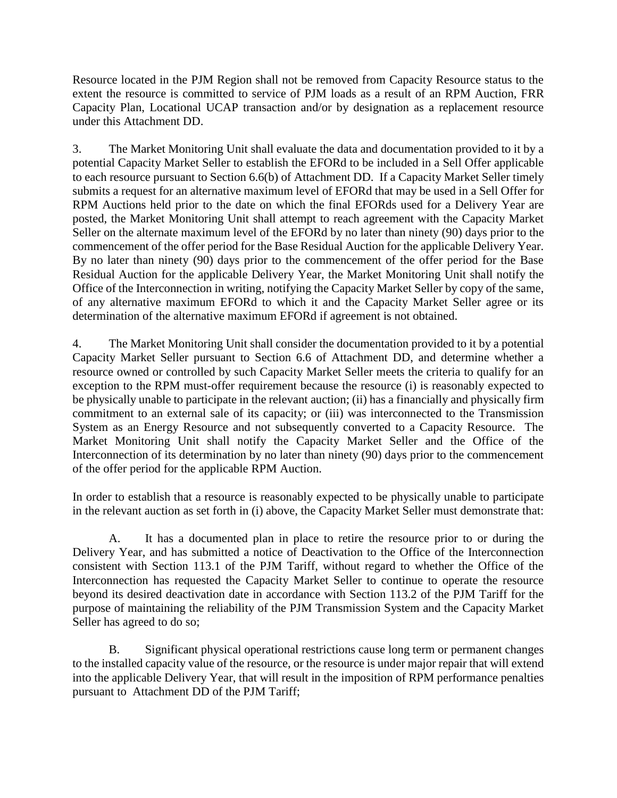Resource located in the PJM Region shall not be removed from Capacity Resource status to the extent the resource is committed to service of PJM loads as a result of an RPM Auction, FRR Capacity Plan, Locational UCAP transaction and/or by designation as a replacement resource under this Attachment DD.

3. The Market Monitoring Unit shall evaluate the data and documentation provided to it by a potential Capacity Market Seller to establish the EFORd to be included in a Sell Offer applicable to each resource pursuant to Section 6.6(b) of Attachment DD. If a Capacity Market Seller timely submits a request for an alternative maximum level of EFORd that may be used in a Sell Offer for RPM Auctions held prior to the date on which the final EFORds used for a Delivery Year are posted, the Market Monitoring Unit shall attempt to reach agreement with the Capacity Market Seller on the alternate maximum level of the EFORd by no later than ninety (90) days prior to the commencement of the offer period for the Base Residual Auction for the applicable Delivery Year. By no later than ninety (90) days prior to the commencement of the offer period for the Base Residual Auction for the applicable Delivery Year, the Market Monitoring Unit shall notify the Office of the Interconnection in writing, notifying the Capacity Market Seller by copy of the same, of any alternative maximum EFORd to which it and the Capacity Market Seller agree or its determination of the alternative maximum EFORd if agreement is not obtained.

4. The Market Monitoring Unit shall consider the documentation provided to it by a potential Capacity Market Seller pursuant to Section 6.6 of Attachment DD, and determine whether a resource owned or controlled by such Capacity Market Seller meets the criteria to qualify for an exception to the RPM must-offer requirement because the resource (i) is reasonably expected to be physically unable to participate in the relevant auction; (ii) has a financially and physically firm commitment to an external sale of its capacity; or (iii) was interconnected to the Transmission System as an Energy Resource and not subsequently converted to a Capacity Resource. The Market Monitoring Unit shall notify the Capacity Market Seller and the Office of the Interconnection of its determination by no later than ninety (90) days prior to the commencement of the offer period for the applicable RPM Auction.

In order to establish that a resource is reasonably expected to be physically unable to participate in the relevant auction as set forth in (i) above, the Capacity Market Seller must demonstrate that:

A. It has a documented plan in place to retire the resource prior to or during the Delivery Year, and has submitted a notice of Deactivation to the Office of the Interconnection consistent with Section 113.1 of the PJM Tariff, without regard to whether the Office of the Interconnection has requested the Capacity Market Seller to continue to operate the resource beyond its desired deactivation date in accordance with Section 113.2 of the PJM Tariff for the purpose of maintaining the reliability of the PJM Transmission System and the Capacity Market Seller has agreed to do so;

B. Significant physical operational restrictions cause long term or permanent changes to the installed capacity value of the resource, or the resource is under major repair that will extend into the applicable Delivery Year, that will result in the imposition of RPM performance penalties pursuant to Attachment DD of the PJM Tariff;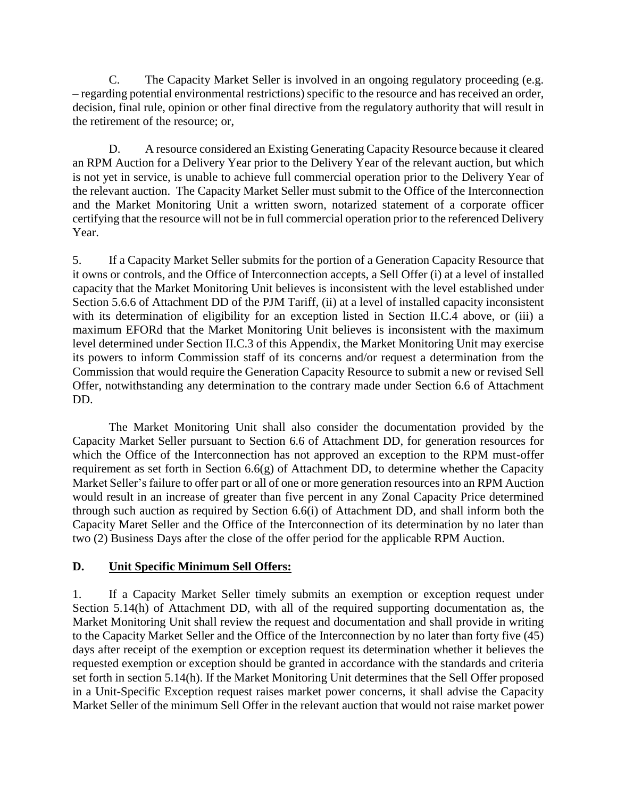C. The Capacity Market Seller is involved in an ongoing regulatory proceeding (e.g. – regarding potential environmental restrictions) specific to the resource and has received an order, decision, final rule, opinion or other final directive from the regulatory authority that will result in the retirement of the resource; or,

D. A resource considered an Existing Generating Capacity Resource because it cleared an RPM Auction for a Delivery Year prior to the Delivery Year of the relevant auction, but which is not yet in service, is unable to achieve full commercial operation prior to the Delivery Year of the relevant auction. The Capacity Market Seller must submit to the Office of the Interconnection and the Market Monitoring Unit a written sworn, notarized statement of a corporate officer certifying that the resource will not be in full commercial operation prior to the referenced Delivery Year.

5. If a Capacity Market Seller submits for the portion of a Generation Capacity Resource that it owns or controls, and the Office of Interconnection accepts, a Sell Offer (i) at a level of installed capacity that the Market Monitoring Unit believes is inconsistent with the level established under Section 5.6.6 of Attachment DD of the PJM Tariff, (ii) at a level of installed capacity inconsistent with its determination of eligibility for an exception listed in Section II.C.4 above, or (iii) a maximum EFORd that the Market Monitoring Unit believes is inconsistent with the maximum level determined under Section II.C.3 of this Appendix, the Market Monitoring Unit may exercise its powers to inform Commission staff of its concerns and/or request a determination from the Commission that would require the Generation Capacity Resource to submit a new or revised Sell Offer, notwithstanding any determination to the contrary made under Section 6.6 of Attachment DD.

The Market Monitoring Unit shall also consider the documentation provided by the Capacity Market Seller pursuant to Section 6.6 of Attachment DD, for generation resources for which the Office of the Interconnection has not approved an exception to the RPM must-offer requirement as set forth in Section 6.6(g) of Attachment DD, to determine whether the Capacity Market Seller's failure to offer part or all of one or more generation resources into an RPM Auction would result in an increase of greater than five percent in any Zonal Capacity Price determined through such auction as required by Section 6.6(i) of Attachment DD, and shall inform both the Capacity Maret Seller and the Office of the Interconnection of its determination by no later than two (2) Business Days after the close of the offer period for the applicable RPM Auction.

#### **D. Unit Specific Minimum Sell Offers:**

1. If a Capacity Market Seller timely submits an exemption or exception request under Section 5.14(h) of Attachment DD, with all of the required supporting documentation as, the Market Monitoring Unit shall review the request and documentation and shall provide in writing to the Capacity Market Seller and the Office of the Interconnection by no later than forty five (45) days after receipt of the exemption or exception request its determination whether it believes the requested exemption or exception should be granted in accordance with the standards and criteria set forth in section 5.14(h). If the Market Monitoring Unit determines that the Sell Offer proposed in a Unit-Specific Exception request raises market power concerns, it shall advise the Capacity Market Seller of the minimum Sell Offer in the relevant auction that would not raise market power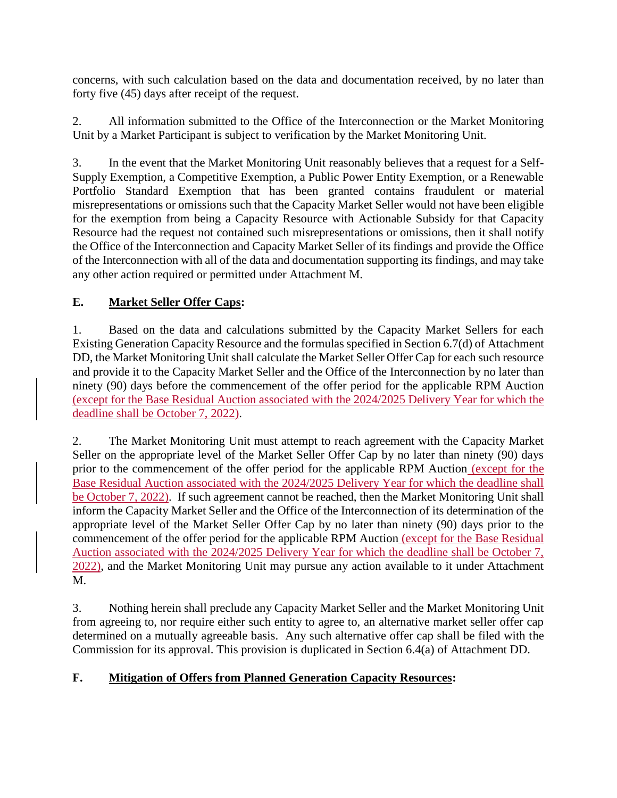concerns, with such calculation based on the data and documentation received, by no later than forty five (45) days after receipt of the request.

2. All information submitted to the Office of the Interconnection or the Market Monitoring Unit by a Market Participant is subject to verification by the Market Monitoring Unit.

3. In the event that the Market Monitoring Unit reasonably believes that a request for a Self-Supply Exemption, a Competitive Exemption, a Public Power Entity Exemption, or a Renewable Portfolio Standard Exemption that has been granted contains fraudulent or material misrepresentations or omissions such that the Capacity Market Seller would not have been eligible for the exemption from being a Capacity Resource with Actionable Subsidy for that Capacity Resource had the request not contained such misrepresentations or omissions, then it shall notify the Office of the Interconnection and Capacity Market Seller of its findings and provide the Office of the Interconnection with all of the data and documentation supporting its findings, and may take any other action required or permitted under Attachment M.

## **E. Market Seller Offer Caps:**

1. Based on the data and calculations submitted by the Capacity Market Sellers for each Existing Generation Capacity Resource and the formulas specified in Section 6.7(d) of Attachment DD, the Market Monitoring Unit shall calculate the Market Seller Offer Cap for each such resource and provide it to the Capacity Market Seller and the Office of the Interconnection by no later than ninety (90) days before the commencement of the offer period for the applicable RPM Auction (except for the Base Residual Auction associated with the 2024/2025 Delivery Year for which the deadline shall be October 7, 2022).

2. The Market Monitoring Unit must attempt to reach agreement with the Capacity Market Seller on the appropriate level of the Market Seller Offer Cap by no later than ninety (90) days prior to the commencement of the offer period for the applicable RPM Auction (except for the Base Residual Auction associated with the 2024/2025 Delivery Year for which the deadline shall be October 7, 2022). If such agreement cannot be reached, then the Market Monitoring Unit shall inform the Capacity Market Seller and the Office of the Interconnection of its determination of the appropriate level of the Market Seller Offer Cap by no later than ninety (90) days prior to the commencement of the offer period for the applicable RPM Auction (except for the Base Residual Auction associated with the 2024/2025 Delivery Year for which the deadline shall be October 7, 2022), and the Market Monitoring Unit may pursue any action available to it under Attachment M.

3. Nothing herein shall preclude any Capacity Market Seller and the Market Monitoring Unit from agreeing to, nor require either such entity to agree to, an alternative market seller offer cap determined on a mutually agreeable basis. Any such alternative offer cap shall be filed with the Commission for its approval. This provision is duplicated in Section 6.4(a) of Attachment DD.

### **F. Mitigation of Offers from Planned Generation Capacity Resources:**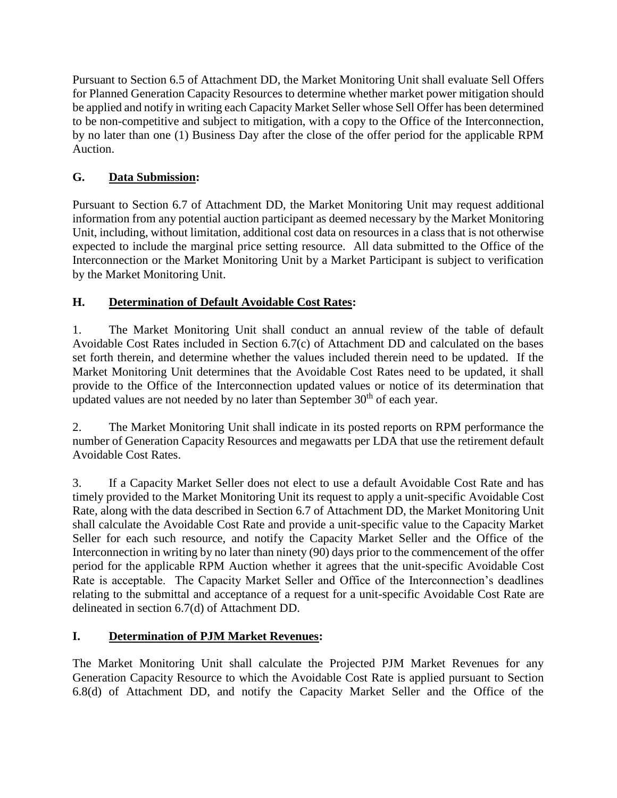Pursuant to Section 6.5 of Attachment DD, the Market Monitoring Unit shall evaluate Sell Offers for Planned Generation Capacity Resources to determine whether market power mitigation should be applied and notify in writing each Capacity Market Seller whose Sell Offer has been determined to be non-competitive and subject to mitigation, with a copy to the Office of the Interconnection, by no later than one (1) Business Day after the close of the offer period for the applicable RPM Auction.

## **G. Data Submission:**

Pursuant to Section 6.7 of Attachment DD, the Market Monitoring Unit may request additional information from any potential auction participant as deemed necessary by the Market Monitoring Unit, including, without limitation, additional cost data on resources in a class that is not otherwise expected to include the marginal price setting resource. All data submitted to the Office of the Interconnection or the Market Monitoring Unit by a Market Participant is subject to verification by the Market Monitoring Unit.

# **H. Determination of Default Avoidable Cost Rates:**

1. The Market Monitoring Unit shall conduct an annual review of the table of default Avoidable Cost Rates included in Section 6.7(c) of Attachment DD and calculated on the bases set forth therein, and determine whether the values included therein need to be updated. If the Market Monitoring Unit determines that the Avoidable Cost Rates need to be updated, it shall provide to the Office of the Interconnection updated values or notice of its determination that updated values are not needed by no later than September  $30<sup>th</sup>$  of each year.

2. The Market Monitoring Unit shall indicate in its posted reports on RPM performance the number of Generation Capacity Resources and megawatts per LDA that use the retirement default Avoidable Cost Rates.

3. If a Capacity Market Seller does not elect to use a default Avoidable Cost Rate and has timely provided to the Market Monitoring Unit its request to apply a unit-specific Avoidable Cost Rate, along with the data described in Section 6.7 of Attachment DD, the Market Monitoring Unit shall calculate the Avoidable Cost Rate and provide a unit-specific value to the Capacity Market Seller for each such resource, and notify the Capacity Market Seller and the Office of the Interconnection in writing by no later than ninety (90) days prior to the commencement of the offer period for the applicable RPM Auction whether it agrees that the unit-specific Avoidable Cost Rate is acceptable. The Capacity Market Seller and Office of the Interconnection's deadlines relating to the submittal and acceptance of a request for a unit-specific Avoidable Cost Rate are delineated in section 6.7(d) of Attachment DD.

### **I. Determination of PJM Market Revenues:**

The Market Monitoring Unit shall calculate the Projected PJM Market Revenues for any Generation Capacity Resource to which the Avoidable Cost Rate is applied pursuant to Section 6.8(d) of Attachment DD, and notify the Capacity Market Seller and the Office of the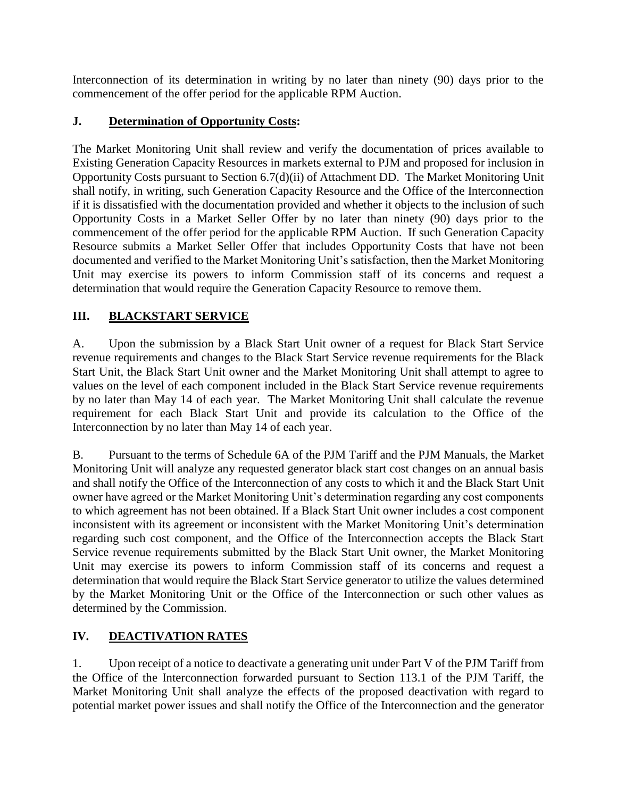Interconnection of its determination in writing by no later than ninety (90) days prior to the commencement of the offer period for the applicable RPM Auction.

#### **J. Determination of Opportunity Costs:**

The Market Monitoring Unit shall review and verify the documentation of prices available to Existing Generation Capacity Resources in markets external to PJM and proposed for inclusion in Opportunity Costs pursuant to Section 6.7(d)(ii) of Attachment DD. The Market Monitoring Unit shall notify, in writing, such Generation Capacity Resource and the Office of the Interconnection if it is dissatisfied with the documentation provided and whether it objects to the inclusion of such Opportunity Costs in a Market Seller Offer by no later than ninety (90) days prior to the commencement of the offer period for the applicable RPM Auction. If such Generation Capacity Resource submits a Market Seller Offer that includes Opportunity Costs that have not been documented and verified to the Market Monitoring Unit's satisfaction, then the Market Monitoring Unit may exercise its powers to inform Commission staff of its concerns and request a determination that would require the Generation Capacity Resource to remove them.

#### **III. BLACKSTART SERVICE**

A. Upon the submission by a Black Start Unit owner of a request for Black Start Service revenue requirements and changes to the Black Start Service revenue requirements for the Black Start Unit, the Black Start Unit owner and the Market Monitoring Unit shall attempt to agree to values on the level of each component included in the Black Start Service revenue requirements by no later than May 14 of each year. The Market Monitoring Unit shall calculate the revenue requirement for each Black Start Unit and provide its calculation to the Office of the Interconnection by no later than May 14 of each year.

B. Pursuant to the terms of Schedule 6A of the PJM Tariff and the PJM Manuals, the Market Monitoring Unit will analyze any requested generator black start cost changes on an annual basis and shall notify the Office of the Interconnection of any costs to which it and the Black Start Unit owner have agreed or the Market Monitoring Unit's determination regarding any cost components to which agreement has not been obtained. If a Black Start Unit owner includes a cost component inconsistent with its agreement or inconsistent with the Market Monitoring Unit's determination regarding such cost component, and the Office of the Interconnection accepts the Black Start Service revenue requirements submitted by the Black Start Unit owner, the Market Monitoring Unit may exercise its powers to inform Commission staff of its concerns and request a determination that would require the Black Start Service generator to utilize the values determined by the Market Monitoring Unit or the Office of the Interconnection or such other values as determined by the Commission.

### **IV. DEACTIVATION RATES**

1. Upon receipt of a notice to deactivate a generating unit under Part V of the PJM Tariff from the Office of the Interconnection forwarded pursuant to Section 113.1 of the PJM Tariff, the Market Monitoring Unit shall analyze the effects of the proposed deactivation with regard to potential market power issues and shall notify the Office of the Interconnection and the generator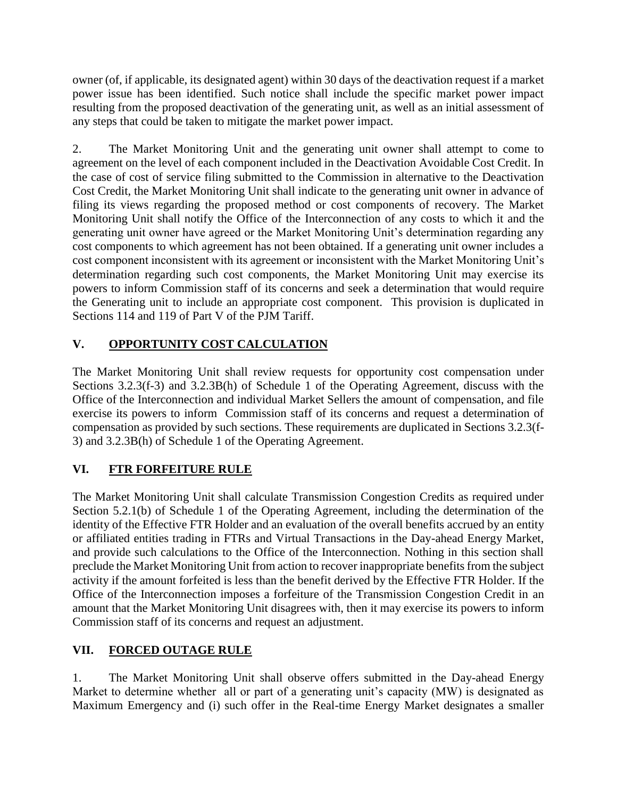owner (of, if applicable, its designated agent) within 30 days of the deactivation request if a market power issue has been identified. Such notice shall include the specific market power impact resulting from the proposed deactivation of the generating unit, as well as an initial assessment of any steps that could be taken to mitigate the market power impact.

2. The Market Monitoring Unit and the generating unit owner shall attempt to come to agreement on the level of each component included in the Deactivation Avoidable Cost Credit. In the case of cost of service filing submitted to the Commission in alternative to the Deactivation Cost Credit, the Market Monitoring Unit shall indicate to the generating unit owner in advance of filing its views regarding the proposed method or cost components of recovery. The Market Monitoring Unit shall notify the Office of the Interconnection of any costs to which it and the generating unit owner have agreed or the Market Monitoring Unit's determination regarding any cost components to which agreement has not been obtained. If a generating unit owner includes a cost component inconsistent with its agreement or inconsistent with the Market Monitoring Unit's determination regarding such cost components, the Market Monitoring Unit may exercise its powers to inform Commission staff of its concerns and seek a determination that would require the Generating unit to include an appropriate cost component. This provision is duplicated in Sections 114 and 119 of Part V of the PJM Tariff.

# **V. OPPORTUNITY COST CALCULATION**

The Market Monitoring Unit shall review requests for opportunity cost compensation under Sections 3.2.3(f-3) and 3.2.3B(h) of Schedule 1 of the Operating Agreement, discuss with the Office of the Interconnection and individual Market Sellers the amount of compensation, and file exercise its powers to inform Commission staff of its concerns and request a determination of compensation as provided by such sections. These requirements are duplicated in Sections 3.2.3(f-3) and 3.2.3B(h) of Schedule 1 of the Operating Agreement.

# **VI. FTR FORFEITURE RULE**

The Market Monitoring Unit shall calculate Transmission Congestion Credits as required under Section 5.2.1(b) of Schedule 1 of the Operating Agreement, including the determination of the identity of the Effective FTR Holder and an evaluation of the overall benefits accrued by an entity or affiliated entities trading in FTRs and Virtual Transactions in the Day-ahead Energy Market, and provide such calculations to the Office of the Interconnection. Nothing in this section shall preclude the Market Monitoring Unit from action to recover inappropriate benefits from the subject activity if the amount forfeited is less than the benefit derived by the Effective FTR Holder. If the Office of the Interconnection imposes a forfeiture of the Transmission Congestion Credit in an amount that the Market Monitoring Unit disagrees with, then it may exercise its powers to inform Commission staff of its concerns and request an adjustment.

### **VII. FORCED OUTAGE RULE**

1. The Market Monitoring Unit shall observe offers submitted in the Day-ahead Energy Market to determine whether all or part of a generating unit's capacity (MW) is designated as Maximum Emergency and (i) such offer in the Real-time Energy Market designates a smaller